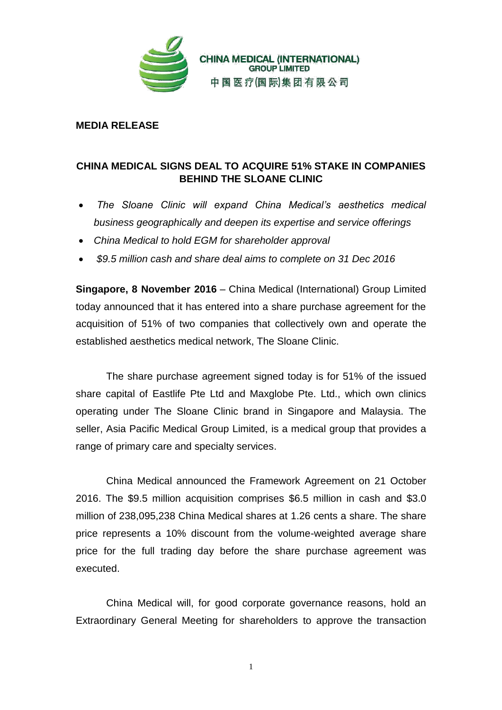

**MEDIA RELEASE**

## **CHINA MEDICAL SIGNS DEAL TO ACQUIRE 51% STAKE IN COMPANIES BEHIND THE SLOANE CLINIC**

- *The Sloane Clinic will expand China Medical's aesthetics medical business geographically and deepen its expertise and service offerings*
- *China Medical to hold EGM for shareholder approval*
- *\$9.5 million cash and share deal aims to complete on 31 Dec 2016*

**Singapore, 8 November 2016** – China Medical (International) Group Limited today announced that it has entered into a share purchase agreement for the acquisition of 51% of two companies that collectively own and operate the established aesthetics medical network, The Sloane Clinic.

The share purchase agreement signed today is for 51% of the issued share capital of Eastlife Pte Ltd and Maxglobe Pte. Ltd., which own clinics operating under The Sloane Clinic brand in Singapore and Malaysia. The seller, Asia Pacific Medical Group Limited, is a medical group that provides a range of primary care and specialty services.

China Medical announced the Framework Agreement on 21 October 2016. The \$9.5 million acquisition comprises \$6.5 million in cash and \$3.0 million of 238,095,238 China Medical shares at 1.26 cents a share. The share price represents a 10% discount from the volume-weighted average share price for the full trading day before the share purchase agreement was executed.

China Medical will, for good corporate governance reasons, hold an Extraordinary General Meeting for shareholders to approve the transaction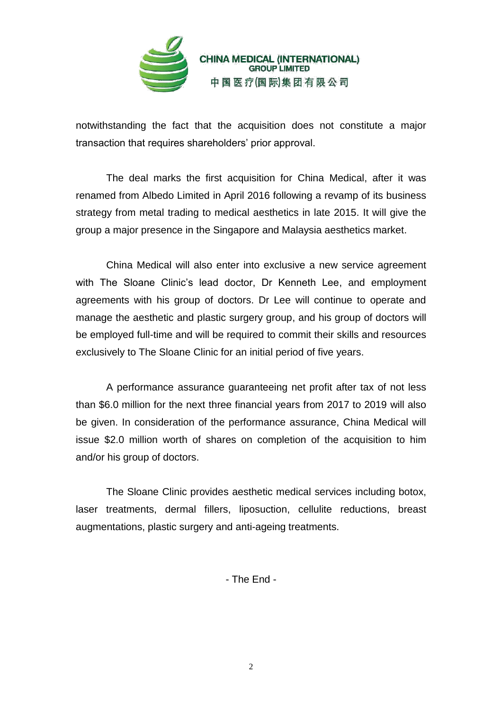

**CHINA MEDICAL (INTERNATIONAL)**<br>GROUP LIMITED 中国医疗(国际)集团有限公司

notwithstanding the fact that the acquisition does not constitute a major transaction that requires shareholders' prior approval.

The deal marks the first acquisition for China Medical, after it was renamed from Albedo Limited in April 2016 following a revamp of its business strategy from metal trading to medical aesthetics in late 2015. It will give the group a major presence in the Singapore and Malaysia aesthetics market.

China Medical will also enter into exclusive a new service agreement with The Sloane Clinic's lead doctor, Dr Kenneth Lee, and employment agreements with his group of doctors. Dr Lee will continue to operate and manage the aesthetic and plastic surgery group, and his group of doctors will be employed full-time and will be required to commit their skills and resources exclusively to The Sloane Clinic for an initial period of five years.

A performance assurance guaranteeing net profit after tax of not less than \$6.0 million for the next three financial years from 2017 to 2019 will also be given. In consideration of the performance assurance, China Medical will issue \$2.0 million worth of shares on completion of the acquisition to him and/or his group of doctors.

The Sloane Clinic provides aesthetic medical services including botox, laser treatments, dermal fillers, liposuction, cellulite reductions, breast augmentations, plastic surgery and anti-ageing treatments.

- The End -